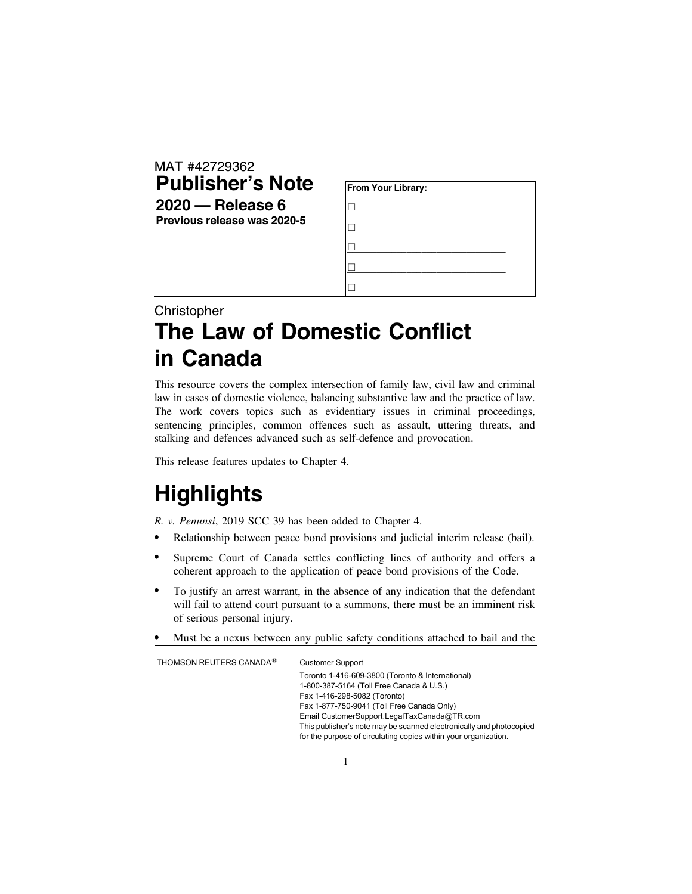| MAT #42729362               |  |  |  |
|-----------------------------|--|--|--|
| <b>Publisher's Note</b>     |  |  |  |
| $2020 -$ Release 6          |  |  |  |
| Previous release was 2020-5 |  |  |  |
|                             |  |  |  |

| From Your Library: |  |
|--------------------|--|
|                    |  |
|                    |  |
|                    |  |
|                    |  |
|                    |  |

## Christopher **The Law of Domestic Conflict in Canada**

This resource covers the complex intersection of family law, civil law and criminal law in cases of domestic violence, balancing substantive law and the practice of law. The work covers topics such as evidentiary issues in criminal proceedings, sentencing principles, common offences such as assault, uttering threats, and stalking and defences advanced such as self-defence and provocation.

This release features updates to Chapter 4.

## **Highlights**

*R. v. Penunsi*, 2019 SCC 39 has been added to Chapter 4.

- . Relationship between peace bond provisions and judicial interim release (bail).
- . Supreme Court of Canada settles conflicting lines of authority and offers a coherent approach to the application of peace bond provisions of the Code.
- . To justify an arrest warrant, in the absence of any indication that the defendant will fail to attend court pursuant to a summons, there must be an imminent risk of serious personal injury.
- . Must be a nexus between any public safety conditions attached to bail and the

THOMSON REUTERS CANADA<sup>®</sup> Customer Support Toronto 1-416-609-3800 (Toronto & International) 1-800-387-5164 (Toll Free Canada & U.S.) Fax 1-416-298-5082 (Toronto) Fax 1-877-750-9041 (Toll Free Canada Only) Email CustomerSupport.LegalTaxCanada@TR.com This publisher's note may be scanned electronically and photocopied for the purpose of circulating copies within your organization.